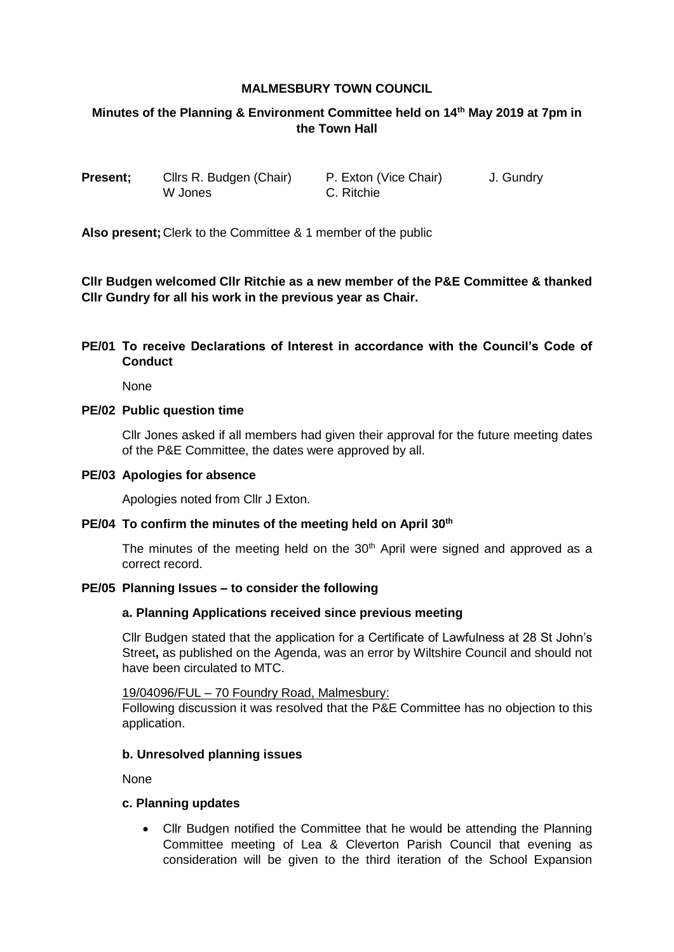# **MALMESBURY TOWN COUNCIL**

# **Minutes of the Planning & Environment Committee held on 14th May 2019 at 7pm in the Town Hall**

W Jones C. Ritchie

**Present; Clirs R. Budgen (Chair) P. Exton (Vice Chair) J. Gundry** 

**Also present;** Clerk to the Committee & 1 member of the public

**Cllr Budgen welcomed Cllr Ritchie as a new member of the P&E Committee & thanked Cllr Gundry for all his work in the previous year as Chair.**

**PE/01 To receive Declarations of Interest in accordance with the Council's Code of Conduct**

None

## **PE/02 Public question time**

Cllr Jones asked if all members had given their approval for the future meeting dates of the P&E Committee, the dates were approved by all.

### **PE/03 Apologies for absence**

Apologies noted from Cllr J Exton.

# **PE/04 To confirm the minutes of the meeting held on April 30th**

The minutes of the meeting held on the  $30<sup>th</sup>$  April were signed and approved as a correct record.

### **PE/05 Planning Issues – to consider the following**

### **a. Planning Applications received since previous meeting**

Cllr Budgen stated that the application for a Certificate of Lawfulness at 28 St John's Street**,** as published on the Agenda, was an error by Wiltshire Council and should not have been circulated to MTC.

19/04096/FUL – 70 Foundry Road, Malmesbury:

Following discussion it was resolved that the P&E Committee has no objection to this application.

### **b. Unresolved planning issues**

None

## **c. Planning updates**

 Cllr Budgen notified the Committee that he would be attending the Planning Committee meeting of Lea & Cleverton Parish Council that evening as consideration will be given to the third iteration of the School Expansion